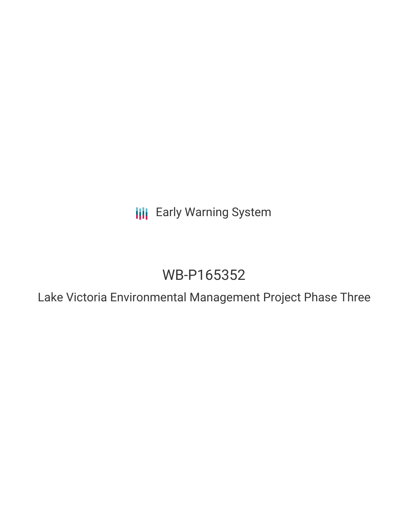**III** Early Warning System

# WB-P165352

Lake Victoria Environmental Management Project Phase Three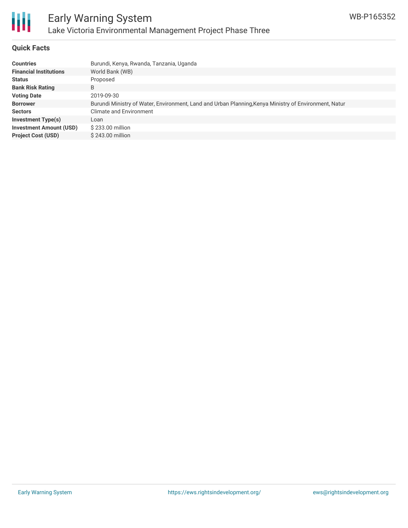

#### **Quick Facts**

| Burundi, Kenya, Rwanda, Tanzania, Uganda                                                              |
|-------------------------------------------------------------------------------------------------------|
| World Bank (WB)                                                                                       |
| Proposed                                                                                              |
| B                                                                                                     |
| 2019-09-30                                                                                            |
| Burundi Ministry of Water, Environment, Land and Urban Planning, Kenya Ministry of Environment, Natur |
| <b>Climate and Environment</b>                                                                        |
| Loan                                                                                                  |
| \$233.00 million                                                                                      |
| \$243.00 million                                                                                      |
|                                                                                                       |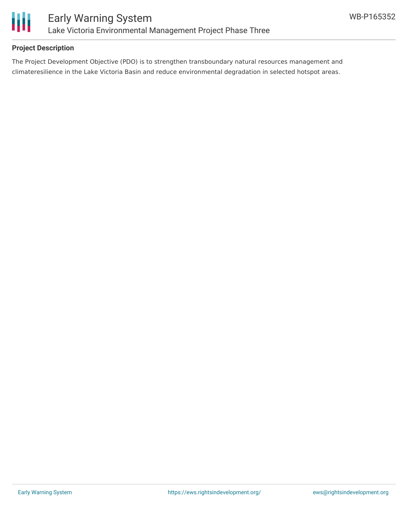

### **Project Description**

The Project Development Objective (PDO) is to strengthen transboundary natural resources management and climateresilience in the Lake Victoria Basin and reduce environmental degradation in selected hotspot areas.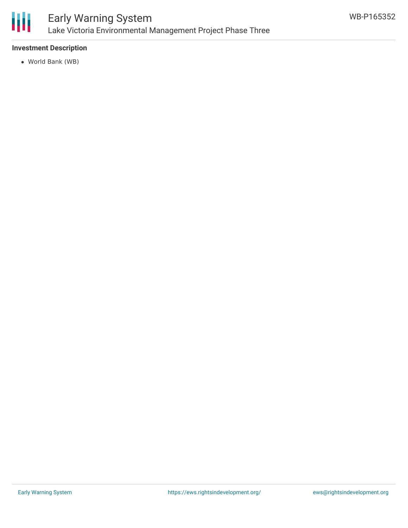

#### **Investment Description**

World Bank (WB)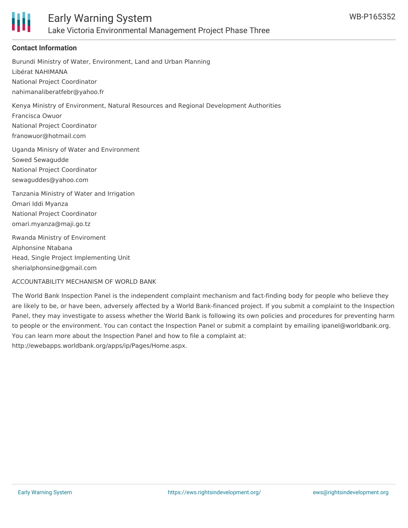

#### **Contact Information**

Burundi Ministry of Water, Environment, Land and Urban Planning Libérat NAHIMANA National Project Coordinator nahimanaliberatfebr@yahoo.fr Kenya Ministry of Environment, Natural Resources and Regional Development Authorities Francisca Owuor National Project Coordinator franowuor@hotmail.com Uganda Minisry of Water and Environment Sowed Sewagudde National Project Coordinator sewaguddes@yahoo.com Tanzania Ministry of Water and Irrigation Omari Iddi Myanza National Project Coordinator omari.myanza@maji.go.tz Rwanda Ministry of Enviroment Alphonsine Ntabana Head, Single Project Implementing Unit

sherialphonsine@gmail.com

ACCOUNTABILITY MECHANISM OF WORLD BANK

The World Bank Inspection Panel is the independent complaint mechanism and fact-finding body for people who believe they are likely to be, or have been, adversely affected by a World Bank-financed project. If you submit a complaint to the Inspection Panel, they may investigate to assess whether the World Bank is following its own policies and procedures for preventing harm to people or the environment. You can contact the Inspection Panel or submit a complaint by emailing ipanel@worldbank.org. You can learn more about the Inspection Panel and how to file a complaint at: http://ewebapps.worldbank.org/apps/ip/Pages/Home.aspx.